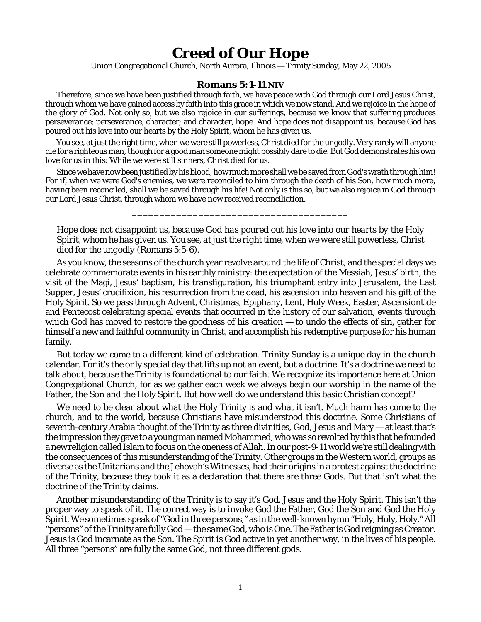## **Creed of Our Hope**

Union Congregational Church, North Aurora, Illinois — Trinity Sunday, May 22, 2005

## **Romans 5:1-11 NIV**

Therefore, since we have been justified through faith, we have peace with God through our Lord Jesus Christ, through whom we have gained access by faith into this grace in which we now stand. And we rejoice in the hope of the glory of God. Not only so, but we also rejoice in our sufferings, because we know that suffering produces perseverance; perseverance, character; and character, hope. And hope does not disappoint us, because God has poured out his love into our hearts by the Holy Spirit, whom he has given us.

You see, at just the right time, when we were still powerless, Christ died for the ungodly. Very rarely will anyone die for a righteous man, though for a good man someone might possibly dare to die. But God demonstrates his own love for us in this: While we were still sinners, Christ died for us.

Since we have now been justified by his blood, how much more shall we be saved from God's wrath through him! For if, when we were God's enemies, we were reconciled to him through the death of his Son, how much more, having been reconciled, shall we be saved through his life! Not only is this so, but we also rejoice in God through our Lord Jesus Christ, through whom we have now received reconciliation.

\_\_\_\_\_\_\_\_\_\_\_\_\_\_\_\_\_\_\_\_\_\_\_\_\_\_\_\_\_\_\_\_\_\_\_\_\_\_\_

*Hope does not disappoint us, because God has poured out his love into our hearts by the Holy Spirit, whom he has given us. You see, at just the right time, when we were still powerless, Christ died for the ungodly* (Romans 5:5-6).

As you know, the seasons of the church year revolve around the life of Christ, and the special days we celebrate commemorate events in his earthly ministry: the expectation of the Messiah, Jesus' birth, the visit of the Magi, Jesus' baptism, his transfiguration, his triumphant entry into Jerusalem, the Last Supper, Jesus' crucifixion, his resurrection from the dead, his ascension into heaven and his gift of the Holy Spirit. So we pass through Advent, Christmas, Epiphany, Lent, Holy Week, Easter, Ascensiontide and Pentecost celebrating special events that occurred in the history of our salvation, events through which God has moved to restore the goodness of his creation — to undo the effects of sin, gather for himself a new and faithful community in Christ, and accomplish his redemptive purpose for his human family.

But today we come to a different kind of celebration. Trinity Sunday is a unique day in the church calendar. For it's the only special day that lifts up not an event, but a doctrine. It's a doctrine we need to talk about, because the Trinity is foundational to our faith. We recognize its importance here at Union Congregational Church, for as we gather each week we always begin our worship in the name of the Father, the Son and the Holy Spirit. But how well do we understand this basic Christian concept?

We need to be clear about what the Holy Trinity is and what it isn't. Much harm has come to the church, and to the world, because Christians have misunderstood this doctrine. Some Christians of seventh-century Arabia thought of the Trinity as three divinities, God, Jesus and Mary — at least that's the impression they gave to a young man named Mohammed, who was so revolted by this that he founded a new religion called Islam to focus on the oneness of Allah. In our post-9-11 world we're still dealing with the consequences of this misunderstanding of the Trinity. Other groups in the Western world, groups as diverse as the Unitarians and the Jehovah's Witnesses, had their origins in a protest against the doctrine of the Trinity, because they took it as a declaration that there are three Gods. But that isn't what the doctrine of the Trinity claims.

Another misunderstanding of the Trinity is to say it's God, Jesus and the Holy Spirit. This isn't the proper way to speak of it. The correct way is to invoke *God* the Father, *God* the Son and *God* the Holy Spirit. We sometimes speak of "God in three persons," as in the well-known hymn "Holy, Holy, Holy." All "persons" of the Trinity are fully God — the *same* God, who is One. The Father is God reigning as Creator. Jesus is God incarnate as the Son. The Spirit is God active in yet another way, in the lives of his people. All three "persons" are fully the same God, not three different gods.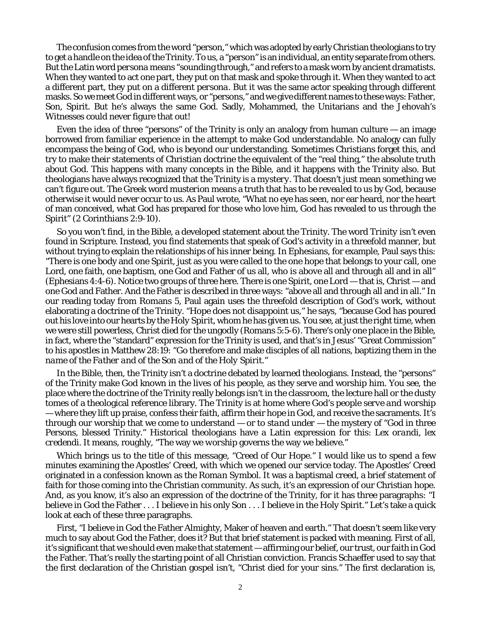The confusion comes from the word "person," which was adopted by early Christian theologians to try to get a handle on the idea of the Trinity. To us, a "person" is an individual, an entity separate from others. But the Latin word *persona* means "sounding through," and refers to a mask worn by ancient dramatists. When they wanted to act one part, they put on that mask and spoke through it. When they wanted to act a different part, they put on a different *persona*. But it was the same actor speaking through different masks. So we meet God in different ways, or "persons," and we give different names to these ways: Father, Son, Spirit. But he's always the same God. Sadly, Mohammed, the Unitarians and the Jehovah's Witnesses could never figure that out!

Even the idea of three "persons" of the Trinity is only an analogy from human culture  $-$  an image borrowed from familiar experience in the attempt to make God understandable. No analogy can fully encompass the being of God, who is beyond our understanding. Sometimes Christians forget this, and try to make their statements of Christian doctrine the equivalent of the "real thing," the absolute truth about God. This happens with many concepts in the Bible, and it happens with the Trinity also. But theologians have always recognized that the Trinity is a *mystery.* That doesn't just mean something we can't figure out. The Greek word *musterion* means a truth that has to be *revealed to us* by God, because otherwise it would never occur to us. As Paul wrote, "What no eye has seen, nor ear heard, nor the heart of man conceived, what God has prepared for those who love him, God has revealed to us through the Spirit" (2 Corinthians 2:9-10).

So you won't find, in the Bible, a developed statement about the Trinity. The word *Trinity* isn't even found in Scripture. Instead, you find statements that speak of God's activity in a threefold manner, but without trying to explain the relationships of his inner being. In Ephesians, for example, Paul says this: "There is one body and one Spirit, just as you were called to the one hope that belongs to your call, one Lord, one faith, one baptism, one God and Father of us all, who is above all and through all and in all" (Ephesians 4:4-6). Notice two groups of three here. There is one Spirit, one Lord — that is, Christ — and one God and Father. And the Father is described in three ways: "above all and through all and in all." In our reading today from Romans 5, Paul again uses the threefold description of God's work, without elaborating a doctrine of the Trinity. "Hope does not disappoint us," he says, "because *God* has poured out his love into our hearts by the *Holy Spirit*, whom he has given us. You see, at just the right time, when we were still powerless, *Christ* died for the ungodly (Romans 5:5-6). There's only one place in the Bible, in fact, where the "standard" expression for the Trinity is used, and that's in Jesus' "Great Commission" to his apostles in Matthew 28:19: "Go therefore and make disciples of all nations, baptizing them *in the name of the Father and of the Son and of the Holy Spirit.*"

In the Bible, then, the Trinity isn't a doctrine debated by learned theologians. Instead, the "persons" of the Trinity make God known in the lives of his people, as they serve and worship him. You see, the place where the doctrine of the Trinity really belongs isn't in the classroom, the lecture hall or the dusty tomes of a theological reference library. The Trinity is at home where God's people *serve and worship* — where they lift up praise, confess their faith, affirm their hope in God, and receive the sacraments. It's through our worship that we come to understand — or to *stand under* — the mystery of "God in three Persons, blessed Trinity." Historical theologians have a Latin expression for this: *Lex orandi, lex credendi*. It means, roughly, "The way we *worship* governs the way we *believe*."

Which brings us to the title of this message, "Creed of Our Hope." I would like us to spend a few minutes examining the Apostles' Creed, with which we opened our service today. The Apostles' Creed originated in a confession known as the *Roman Symbol.* It was a baptismal creed, a brief statement of faith for those coming into the Christian community. As such, it's an expression of our Christian hope. And, as you know, it's also an expression of the doctrine of the Trinity, for it has three paragraphs: "I believe in God the Father . . . I believe in his only Son . . . I believe in the Holy Spirit." Let's take a quick look at each of these three paragraphs.

First, "I believe in God the Father Almighty, Maker of heaven and earth." That doesn't seem like very much to say about God the Father, does it? But that brief statement is packed with meaning. First of all, it's significant that we should even make that statement — affirming our belief, our trust, our faith in God the Father. That's really the starting point of all Christian conviction. Francis Schaeffer used to say that the first declaration of the Christian gospel isn't, "Christ died for your sins." The first declaration is,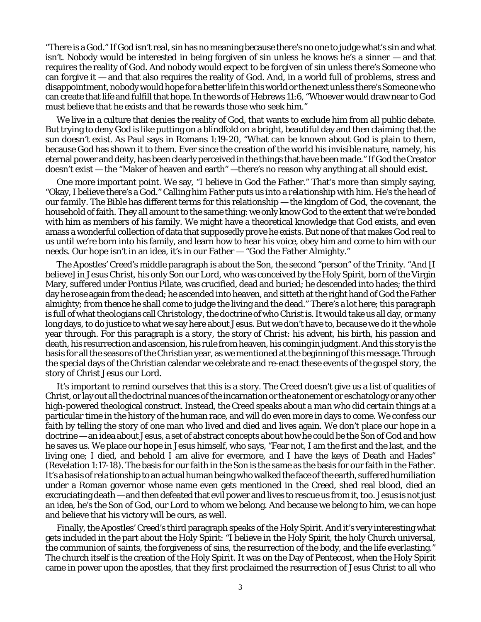"There is a God." If God isn't real, sin has no meaning because there's no one to judge what's sin and what isn't. Nobody would be interested in being forgiven of sin unless he knows he's a sinner — and that requires the reality of God. And nobody would expect to be forgiven of sin unless there's Someone who can forgive it — and that also requires the reality of God. And, in a world full of problems, stress and disappointment, nobody would hope for a better life in this world or the next unless there's Someone who can create that life and fulfill that hope. In the words of Hebrews 11:6, "Whoever would draw near to God *must believe that he exists* and that he rewards those who seek him."

We live in a culture that denies the reality of God, that wants to exclude him from all public debate. But trying to deny God is like putting on a blindfold on a bright, beautiful day and then claiming that the sun doesn't exist. As Paul says in Romans 1:19-20, "What can be known about God is plain to them, because God has shown it to them. Ever since the creation of the world his invisible nature, namely, his eternal power and deity, has been clearly perceived in the things that have been made." If God the Creator doesn't exist — the "Maker of heaven and earth" —there's no reason why anything at all should exist.

One more important point. We say, "I believe in God the Father." That's more than simply saying, "Okay, I believe there's a God." Calling him *Father* puts us into a *relationship* with him. He's the head of our *family*. The Bible has different terms for this relationship — the kingdom of God, the covenant, the household of faith. They all amount to the same thing: we only know God to the extent that we're *bonded with him* as members of his family. We might have a theoretical knowledge that God exists, and even amass a wonderful collection of data that supposedly prove he exists. But none of that makes God real to us until we're born into his family, and learn how to hear his voice, obey him and come to him with our needs. Our hope isn't in an idea, it's in our Father — "God the Father Almighty."

The Apostles' Creed's middle paragraph is about the Son, the second "person" of the Trinity. "And [I believe] in Jesus Christ, his only Son our Lord, who was conceived by the Holy Spirit, born of the Virgin Mary, suffered under Pontius Pilate, was crucified, dead and buried; he descended into hades; the third day he rose again from the dead; he ascended into heaven, and sitteth at the right hand of God the Father almighty; from thence he shall come to judge the living and the dead." There's a lot here; this paragraph is full of what theologians call *Christology*, the doctrine of who Christ is. It would take us all day, or many long days, to do justice to what we say here about Jesus. But we don't have to, because we do it the whole year through. For this paragraph is a *story*, the story of Christ: his advent, his birth, his passion and death, his resurrection and ascension, his rule from heaven, his coming in judgment. And this story is the basis for all the seasons of the Christian year, as we mentioned at the beginning of this message. Through the special days of the Christian calendar we celebrate and re-enact these events of the gospel story, the story of Christ Jesus our Lord.

It's important to remind ourselves that this is a story. The Creed doesn't give us a list of qualities of Christ, or lay out all the doctrinal nuances of the incarnation or the atonement or eschatology or any other high-powered theological construct. Instead, the Creed speaks about *a man who did certain things* at a particular time in the history of the human race, and will do even more in days to come. We confess our faith by telling the story of one man who lived and died and lives again. We don't place our hope in a doctrine — an idea about Jesus, a set of abstract concepts about how he could be the Son of God and how he saves us. We place our hope in Jesus himself, who says, "Fear not, I am the first and the last, and the living one; I died, and behold I am alive for evermore, and I have the keys of Death and Hades" (Revelation 1:17-18). The basis for our faith in the Son is the same as the basis for our faith in the Father. It's a basis of *relationship* to an actual human being who walked the face of the earth, suffered humiliation under a Roman governor whose name even gets mentioned in the Creed, shed real blood, died an excruciating death — and then defeated that evil power and lives to rescue us from it, too. Jesus is not just an idea, he's the Son of God, our Lord to whom we belong. And because we belong to him, we can hope and believe that his victory will be ours, as well.

Finally, the Apostles' Creed's third paragraph speaks of the Holy Spirit. And it's very interesting what gets included in the part about the Holy Spirit: "I believe in the Holy Spirit, the holy Church universal, the communion of saints, the forgiveness of sins, the resurrection of the body, and the life everlasting." The church itself is the creation of the Holy Spirit. It was on the Day of Pentecost, when the Holy Spirit came in power upon the apostles, that they first proclaimed the resurrection of Jesus Christ to all who